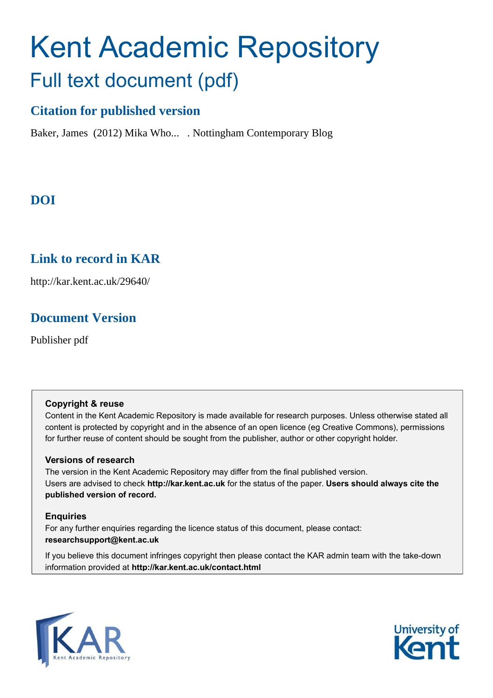# Kent Academic Repository Full text document (pdf)

## **Citation for published version**

Baker, James (2012) Mika Who... . Nottingham Contemporary Blog

# **DOI**

## **Link to record in KAR**

http://kar.kent.ac.uk/29640/

## **Document Version**

Publisher pdf

## **Copyright & reuse**

Content in the Kent Academic Repository is made available for research purposes. Unless otherwise stated all content is protected by copyright and in the absence of an open licence (eg Creative Commons), permissions for further reuse of content should be sought from the publisher, author or other copyright holder.

## **Versions of research**

The version in the Kent Academic Repository may differ from the final published version. Users are advised to check **http://kar.kent.ac.uk** for the status of the paper. **Users should always cite the published version of record.**

## **Enquiries**

For any further enquiries regarding the licence status of this document, please contact: **researchsupport@kent.ac.uk**

If you believe this document infringes copyright then please contact the KAR admin team with the take-down information provided at **http://kar.kent.ac.uk/contact.html**



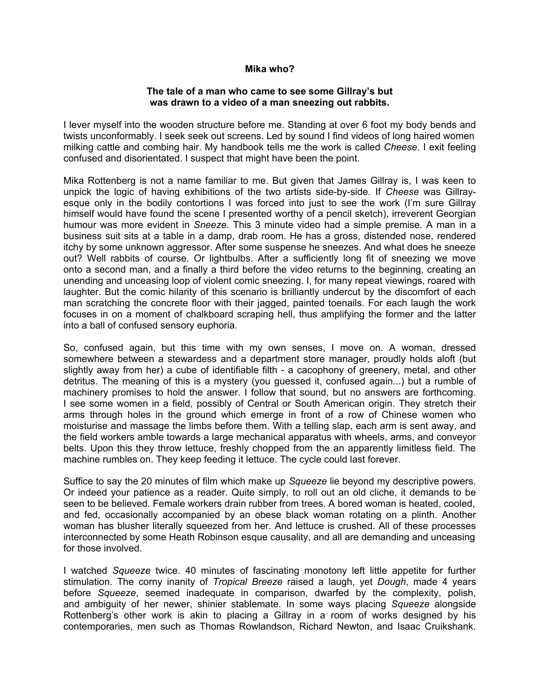#### **Mika who?**

#### **The tale of a man who came to see some Gillray's but was drawn to a video of a man sneezing out rabbits.**

I lever myself into the wooden structure before me. Standing at over 6 foot my body bends and twists unconformably. I seek seek out screens. Led by sound I find videos of long haired women milking cattle and combing hair. My handbook tells me the work is called *Cheese*. I exit feeling confused and disorientated. I suspect that might have been the point.

Mika Rottenberg is not a name familiar to me. But given that James Gillray is, I was keen to unpick the logic of having exhibitions of the two artists side-by-side. If *Cheese* was Gillrayesque only in the bodily contortions I was forced into just to see the work (I'm sure Gillray himself would have found the scene I presented worthy of a pencil sketch), irreverent Georgian humour was more evident in *Sneeze*. This 3 minute video had a simple premise. A man in a business suit sits at a table in a damp, drab room. He has a gross, distended nose, rendered itchy by some unknown aggressor. After some suspense he sneezes. And what does he sneeze out? Well rabbits of course. Or lightbulbs. After a sufficiently long fit of sneezing we move onto a second man, and a finally a third before the video returns to the beginning, creating an unending and unceasing loop of violent comic sneezing. I, for many repeat viewings, roared with laughter. But the comic hilarity of this scenario is brilliantly undercut by the discomfort of each man scratching the concrete floor with their jagged, painted toenails. For each laugh the work focuses in on a moment of chalkboard scraping hell, thus amplifying the former and the latter into a ball of confused sensory euphoria.

So, confused again, but this time with my own senses, I move on. A woman, dressed somewhere between a stewardess and a department store manager, proudly holds aloft (but slightly away from her) a cube of identifiable filth - a cacophony of greenery, metal, and other detritus. The meaning of this is a mystery (you guessed it, confused again...) but a rumble of machinery promises to hold the answer. I follow that sound, but no answers are forthcoming. I see some women in a field, possibly of Central or South American origin. They stretch their arms through holes in the ground which emerge in front of a row of Chinese women who moisturise and massage the limbs before them. With a telling slap, each arm is sent away, and the field workers amble towards a large mechanical apparatus with wheels, arms, and conveyor belts. Upon this they throw lettuce, freshly chopped from the an apparently limitless field. The machine rumbles on. They keep feeding it lettuce. The cycle could last forever.

Suffice to say the 20 minutes of film which make up *Squeeze* lie beyond my descriptive powers. Or indeed your patience as a reader. Quite simply, to roll out an old cliche, it demands to be seen to be believed. Female workers drain rubber from trees. A bored woman is heated, cooled, and fed, occasionally accompanied by an obese black woman rotating on a plinth. Another woman has blusher literally squeezed from her. And lettuce is crushed. All of these processes interconnected by some Heath Robinson esque causality, and all are demanding and unceasing for those involved.

I watched *Squeeze* twice. 40 minutes of fascinating monotony left little appetite for further stimulation. The corny inanity of *Tropical Breeze* raised a laugh, yet *Dough*, made 4 years before *Squeeze*, seemed inadequate in comparison, dwarfed by the complexity, polish, and ambiguity of her newer, shinier stablemate. In some ways placing *Squeeze* alongside Rottenberg's other work is akin to placing a Gillray in a room of works designed by his contemporaries, men such as Thomas Rowlandson, Richard Newton, and Isaac Cruikshank.